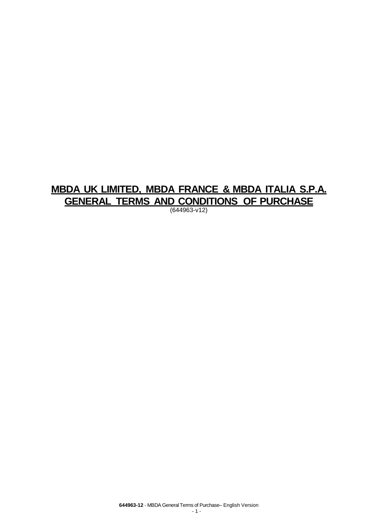# **MBDA UK LIMITED, MBDA FRANCE & MBDA ITALIA S.P.A. GENERAL TERMS AND CONDITIONS OF PURCHASE**

(644963-v12)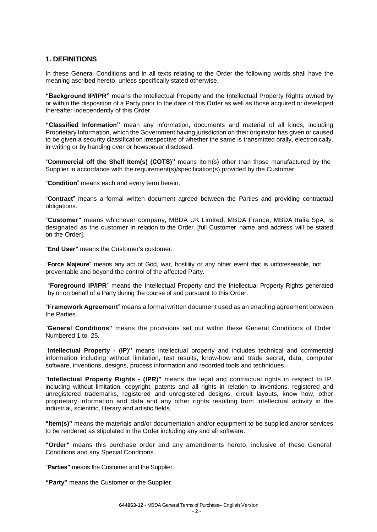## **1. DEFINITIONS**

In these General Conditions and in all texts relating to the Order the following words shall have the meaning ascribed hereto, unless specifically stated otherwise.

**"Background IP/IPR"** means the Intellectual Property and the Intellectual Property Rights owned by or within the disposition of a Party prior to the date of this Order as well as those acquired or developed thereafter independently of this Order.

**"Classified Information"** mean any information, documents and material of all kinds, including Proprietary Information, which the Government having jurisdiction on their originator has given or caused to be given a security classification irrespective of whether the same is transmitted orally, electronically, in writing or by handing over or howsoever disclosed.

"**Commercial off the Shelf Item(s) (COTS)"** means Item(s) other than those manufactured by the Supplier in accordance with the requirement(s)/specification(s) provided by the Customer.

"**Condition**" means each and every term herein.

"**Contract**" means a formal written document agreed between the Parties and providing contractual obligations.

"**Customer"** means whichever company, MBDA UK Limited, MBDA France, MBDA Italia SpA, is designated as the customer in relation to the Order. [full Customer name and address will be stated on the Order].

"**End User"** means the Customer's customer.

"**Force Majeure**" means any act of God, war, hostility or any other event that is unforeseeable, not preventable and beyond the control of the affected Party.

"**Foreground IP/IPR**" means the Intellectual Property and the Intellectual Property Rights generated by or on behalf of a Party during the course of and pursuant to this Order.

"**Framework Agreement**" means a formal written document used as an enabling agreement between the Parties.

"**General Conditions"** means the provisions set out within these General Conditions of Order Numbered 1 to. 25.

"**Intellectual Property - (IP)"** means intellectual property and includes technical and commercial information including without limitation, test results, know-how and trade secret, data, computer software, inventions, designs, process information and recorded tools and techniques.

"**Intellectual Property Rights - (IPR)"** means the legal and contractual rights in respect to IP, including without limitation, copyright, patents and all rights in relation to inventions, registered and unregistered trademarks, registered and unregistered designs, circuit layouts, know how, other proprietary information and data and any other rights resulting from intellectual activity in the industrial, scientific, literary and artistic fields.

**"Item(s)"** means the materials and/or documentation and/or equipment to be supplied and/or services to be rendered as stipulated in the Order including any and all software.

**"Order"** means this purchase order and any amendments hereto, inclusive of these General Conditions and any Special Conditions.

"**Parties"** means the Customer and the Supplier.

**"Party"** means the Customer or the Supplier.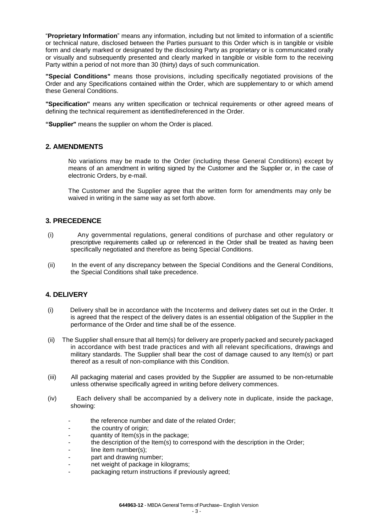"**Proprietary Information**" means any information, including but not limited to information of a scientific or technical nature, disclosed between the Parties pursuant to this Order which is in tangible or visible form and clearly marked or designated by the disclosing Party as proprietary or is communicated orally or visually and subsequently presented and clearly marked in tangible or visible form to the receiving Party within a period of not more than 30 (thirty) days of such communication.

**"Special Conditions"** means those provisions, including specifically negotiated provisions of the Order and any Specifications contained within the Order, which are supplementary to or which amend these General Conditions.

**"Specification"** means any written specification or technical requirements or other agreed means of defining the technical requirement as identified/referenced in the Order.

**"Supplier"** means the supplier on whom the Order is placed.

#### **2. AMENDMENTS**

No variations may be made to the Order (including these General Conditions) except by means of an amendment in writing signed by the Customer and the Supplier or, in the case of electronic Orders, by e-mail.

The Customer and the Supplier agree that the written form for amendments may only be waived in writing in the same way as set forth above.

#### **3. PRECEDENCE**

- (i) Any governmental regulations, general conditions of purchase and other regulatory or prescriptive requirements called up or referenced in the Order shall be treated as having been specifically negotiated and therefore as being Special Conditions.
- (ii) In the event of any discrepancy between the Special Conditions and the General Conditions, the Special Conditions shall take precedence.

## **4. DELIVERY**

- (i) Delivery shall be in accordance with the Incoterms and delivery dates set out in the Order. It is agreed that the respect of the delivery dates is an essential obligation of the Supplier in the performance of the Order and time shall be of the essence.
- (ii) The Supplier shall ensure that all Item(s) for delivery are properly packed and securely packaged in accordance with best trade practices and with all relevant specifications, drawings and military standards. The Supplier shall bear the cost of damage caused to any Item(s) or part thereof as a result of non-compliance with this Condition.
- (iii) All packaging material and cases provided by the Supplier are assumed to be non-returnable unless otherwise specifically agreed in writing before delivery commences.
- (iv) Each delivery shall be accompanied by a delivery note in duplicate, inside the package, showing:
	- the reference number and date of the related Order;
	- the country of origin;
	- quantity of Item(s)s in the package;
	- the description of the Item(s) to correspond with the description in the Order;
	- line item number(s);
	- part and drawing number;
	- net weight of package in kilograms;
	- packaging return instructions if previously agreed;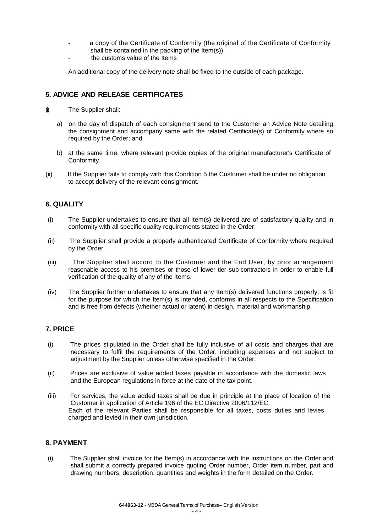- a copy of the Certificate of Conformity (the original of the Certificate of Conformity shall be contained in the packing of the Item(s)).
- the customs value of the Items

An additional copy of the delivery note shall be fixed to the outside of each package.

## **5. ADVICE AND RELEASE CERTIFICATES**

- (i) The Supplier shall:
	- a) on the day of dispatch of each consignment send to the Customer an Advice Note detailing the consignment and accompany same with the related Certificate(s) of Conformity where so required by the Order; and
	- b) at the same time, where relevant provide copies of the original manufacturer's Certificate of Conformity.
- (ii) If the Supplier fails to comply with this Condition 5 the Customer shall be under no obligation to accept delivery of the relevant consignment.

## **6. QUALITY**

- (i) The Supplier undertakes to ensure that all Item(s) delivered are of satisfactory quality and in conformity with all specific quality requirements stated in the Order.
- (ii) The Supplier shall provide a properly authenticated Certificate of Conformity where required by the Order.
- (iii) The Supplier shall accord to the Customer and the End User, by prior arrangement reasonable access to his premises or those of lower tier sub-contractors in order to enable full verification of the quality of any of the Items.
- (iv) The Supplier further undertakes to ensure that any Item(s) delivered functions properly, is fit for the purpose for which the Item(s) is intended, conforms in all respects to the Specification and is free from defects (whether actual or latent) in design, material and workmanship.

## **7. PRICE**

- (i) The prices stipulated in the Order shall be fully inclusive of all costs and charges that are necessary to fulfil the requirements of the Order, including expenses and not subject to adjustment by the Supplier unless otherwise specified in the Order.
- (ii) Prices are exclusive of value added taxes payable in accordance with the domestic laws and the European regulations in force at the date of the tax point.
- (iii) For services, the value added taxes shall be due in principle at the place of location of the Customer in application of Article 196 of the EC Directive 2006/112/EC. Each of the relevant Parties shall be responsible for all taxes, costs duties and levies charged and levied in their own jurisdiction.

## **8. PAYMENT**

(i) The Supplier shall invoice for the Item(s) in accordance with the instructions on the Order and shall submit a correctly prepared invoice quoting Order number, Order item number, part and drawing numbers, description, quantities and weights in the form detailed on the Order.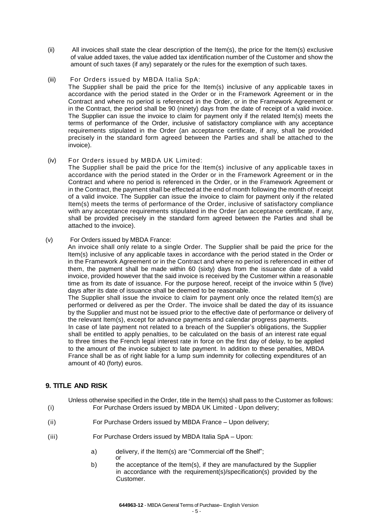- (ii) All invoices shall state the clear description of the Item(s), the price for the Item(s) exclusive of value added taxes, the value added tax identification number of the Customer and show the amount of such taxes (if any) separately or the rules for the exemption of such taxes.
- (iii) For Orders issued by MBDA Italia SpA:

The Supplier shall be paid the price for the Item(s) inclusive of any applicable taxes in accordance with the period stated in the Order or in the Framework Agreement or in the Contract and where no period is referenced in the Order, or in the Framework Agreement or in the Contract, the period shall be 90 (ninety) days from the date of receipt of a valid invoice. The Supplier can issue the invoice to claim for payment only if the related Item(s) meets the terms of performance of the Order, inclusive of satisfactory compliance with any acceptance requirements stipulated in the Order (an acceptance certificate, if any, shall be provided precisely in the standard form agreed between the Parties and shall be attached to the invoice).

(iv) For Orders issued by MBDA UK Limited:

The Supplier shall be paid the price for the Item(s) inclusive of any applicable taxes in accordance with the period stated in the Order or in the Framework Agreement or in the Contract and where no period is referenced in the Order, or in the Framework Agreement or in the Contract, the payment shall be effected at the end of month following the month of receipt of a valid invoice. The Supplier can issue the invoice to claim for payment only if the related Item(s) meets the terms of performance of the Order, inclusive of satisfactory compliance with any acceptance requirements stipulated in the Order (an acceptance certificate, if any, shall be provided precisely in the standard form agreed between the Parties and shall be attached to the invoice).

(v) For Orders issued by MBDA France:

An invoice shall only relate to a single Order. The Supplier shall be paid the price for the Item(s) inclusive of any applicable taxes in accordance with the period stated in the Order or in the Framework Agreement or in the Contract and where no period is referenced in either of them, the payment shall be made within 60 (sixty) days from the issuance date of a valid invoice, provided however that the said invoice is received by the Customer within a reasonable time as from its date of issuance. For the purpose hereof, receipt of the invoice within 5 (five) days after its date of issuance shall be deemed to be reasonable.

The Supplier shall issue the invoice to claim for payment only once the related Item(s) are performed or delivered as per the Order. The invoice shall be dated the day of its issuance by the Supplier and must not be issued prior to the effective date of performance or delivery of the relevant Item(s), except for advance payments and calendar progress payments.

In case of late payment not related to a breach of the Supplier's obligations, the Supplier shall be entitled to apply penalties, to be calculated on the basis of an interest rate equal to three times the French legal interest rate in force on the first day of delay, to be applied to the amount of the invoice subject to late payment. In addition to these penalties, MBDA France shall be as of right liable for a lump sum indemnity for collecting expenditures of an amount of 40 (forty) euros.

## **9. TITLE AND RISK**

Unless otherwise specified in the Order, title in the Item(s) shall pass to the Customer as follows: (i) For Purchase Orders issued by MBDA UK Limited - Upon delivery;

- (ii) For Purchase Orders issued by MBDA France Upon delivery;
- (iii) For Purchase Orders issued by MBDA Italia SpA Upon:
	- a) delivery, if the Item(s) are "Commercial off the Shelf"; or
	- b) the acceptance of the Item(s), if they are manufactured by the Supplier in accordance with the requirement(s)/specification(s) provided by the Customer.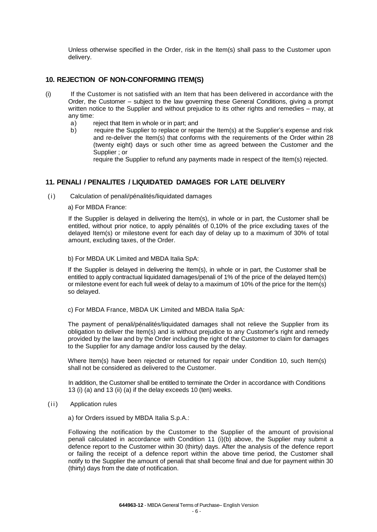Unless otherwise specified in the Order, risk in the Item(s) shall pass to the Customer upon delivery.

#### **10. REJECTION OF NON-CONFORMING ITEM(S)**

- (i) If the Customer is not satisfied with an Item that has been delivered in accordance with the Order, the Customer – subject to the law governing these General Conditions, giving a prompt written notice to the Supplier and without prejudice to its other rights and remedies – may, at any time:
	- a) reject that Item in whole or in part; and<br>b) require the Supplier to replace or repa
	- require the Supplier to replace or repair the Item(s) at the Supplier's expense and risk and re-deliver the Item(s) that conforms with the requirements of the Order within 28 (twenty eight) days or such other time as agreed between the Customer and the Supplier ; or

require the Supplier to refund any payments made in respect of the Item(s) rejected.

## **11. PENALI / PENALITES / LIQUIDATED DAMAGES FOR LATE DELIVERY**

(i) Calculation of penali/pénalités/liquidated damages

a) For MBDA France:

If the Supplier is delayed in delivering the Item(s), in whole or in part, the Customer shall be entitled, without prior notice, to apply pénalités of 0,10% of the price excluding taxes of the delayed Item(s) or milestone event for each day of delay up to a maximum of 30% of total amount, excluding taxes, of the Order.

b) For MBDA UK Limited and MBDA Italia SpA:

If the Supplier is delayed in delivering the Item(s), in whole or in part, the Customer shall be entitled to apply contractual liquidated damages/penali of 1% of the price of the delayed Item(s) or milestone event for each full week of delay to a maximum of 10% of the price for the Item(s) so delayed.

c) For MBDA France, MBDA UK Limited and MBDA Italia SpA:

The payment of penali/pénalités/liquidated damages shall not relieve the Supplier from its obligation to deliver the Item(s) and is without prejudice to any Customer's right and remedy provided by the law and by the Order including the right of the Customer to claim for damages to the Supplier for any damage and/or loss caused by the delay.

Where Item(s) have been rejected or returned for repair under Condition 10, such Item(s) shall not be considered as delivered to the Customer.

In addition, the Customer shall be entitled to terminate the Order in accordance with Conditions 13 (i) (a) and 13 (ii) (a) if the delay exceeds 10 (ten) weeks.

- (ii) Application rules
	- a) for Orders issued by MBDA Italia S.p.A.:

Following the notification by the Customer to the Supplier of the amount of provisional penali calculated in accordance with Condition 11 (i)(b) above, the Supplier may submit a defence report to the Customer within 30 (thirty) days. After the analysis of the defence report or failing the receipt of a defence report within the above time period, the Customer shall notify to the Supplier the amount of penali that shall become final and due for payment within 30 (thirty) days from the date of notification.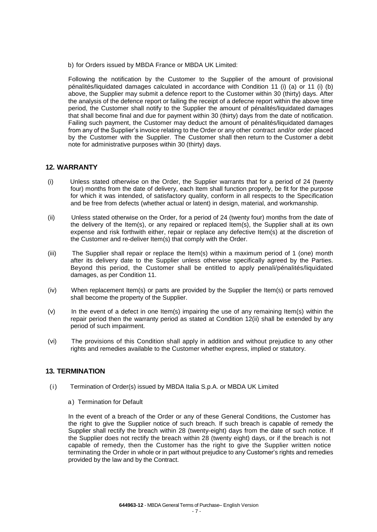b) for Orders issued by MBDA France or MBDA UK Limited:

Following the notification by the Customer to the Supplier of the amount of provisional pénalités/liquidated damages calculated in accordance with Condition 11 (i) (a) or 11 (i) (b) above, the Supplier may submit a defence report to the Customer within 30 (thirty) days. After the analysis of the defence report or failing the receipt of a defecne report within the above time period, the Customer shall notify to the Supplier the amount of pénalités/liquidated damages that shall become final and due for payment within 30 (thirty) days from the date of notification. Failing such payment, the Customer may deduct the amount of pénalités/liquidated damages from any of the Supplier's invoice relating to the Order or any other contract and/or order placed by the Customer with the Supplier. The Customer shall then return to the Customer a debit note for administrative purposes within 30 (thirty) days.

#### **12. WARRANTY**

- (i) Unless stated otherwise on the Order, the Supplier warrants that for a period of 24 (twenty four) months from the date of delivery, each Item shall function properly, be fit for the purpose for which it was intended, of satisfactory quality, conform in all respects to the Specification and be free from defects (whether actual or latent) in design, material, and workmanship.
- (ii) Unless stated otherwise on the Order, for a period of 24 (twenty four) months from the date of the delivery of the Item(s), or any repaired or replaced Item(s), the Supplier shall at its own expense and risk forthwith either, repair or replace any defective Item(s) at the discretion of the Customer and re-deliver Item(s) that comply with the Order.
- (iii) The Supplier shall repair or replace the Item(s) within a maximum period of 1 (one) month after its delivery date to the Supplier unless otherwise specifically agreed by the Parties. Beyond this period, the Customer shall be entitled to apply penali/pénalités/liquidated damages, as per Condition 11.
- (iv) When replacement Item(s) or parts are provided by the Supplier the Item(s) or parts removed shall become the property of the Supplier.
- $(v)$  In the event of a defect in one Item(s) impairing the use of any remaining Item(s) within the repair period then the warranty period as stated at Condition 12(ii) shall be extended by any period of such impairment.
- (vi) The provisions of this Condition shall apply in addition and without prejudice to any other rights and remedies available to the Customer whether express, implied or statutory.

#### **13. TERMINATION**

- (i) Termination of Order(s) issued by MBDA Italia S.p.A. or MBDA UK Limited
	- a) Termination for Default

In the event of a breach of the Order or any of these General Conditions, the Customer has the right to give the Supplier notice of such breach. If such breach is capable of remedy the Supplier shall rectify the breach within 28 (twenty-eight) days from the date of such notice. If the Supplier does not rectify the breach within 28 (twenty eight) days, or if the breach is not capable of remedy, then the Customer has the right to give the Supplier written notice terminating the Order in whole or in part without prejudice to any Customer's rights and remedies provided by the law and by the Contract.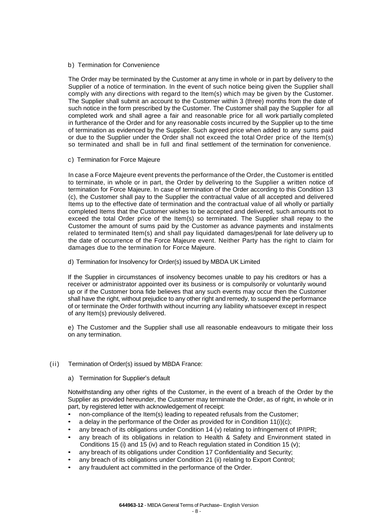b) Termination for Convenience

The Order may be terminated by the Customer at any time in whole or in part by delivery to the Supplier of a notice of termination. In the event of such notice being given the Supplier shall comply with any directions with regard to the Item(s) which may be given by the Customer. The Supplier shall submit an account to the Customer within 3 (three) months from the date of such notice in the form prescribed by the Customer. The Customer shall pay the Supplier for all completed work and shall agree a fair and reasonable price for all work partially completed in furtherance of the Order and for any reasonable costs incurred by the Supplier up to the time of termination as evidenced by the Supplier. Such agreed price when added to any sums paid or due to the Supplier under the Order shall not exceed the total Order price of the Item(s) so terminated and shall be in full and final settlement of the termination for convenience.

c) Termination for Force Majeure

In case a Force Majeure event prevents the performance of the Order, the Customer is entitled to terminate, in whole or in part, the Order by delivering to the Supplier a written notice of termination for Force Majeure. In case of termination of the Order according to this Condition 13 (c), the Customer shall pay to the Supplier the contractual value of all accepted and delivered Items up to the effective date of termination and the contractual value of all wholly or partially completed Items that the Customer wishes to be accepted and delivered, such amounts not to exceed the total Order price of the Item(s) so terminated. The Supplier shall repay to the Customer the amount of sums paid by the Customer as advance payments and instalments related to terminated Item(s) and shall pay liquidated damages/penali for late delivery up to the date of occurrence of the Force Majeure event. Neither Party has the right to claim for damages due to the termination for Force Majeure.

d) Termination for Insolvency for Order(s) issued by MBDA UK Limited

If the Supplier in circumstances of insolvency becomes unable to pay his creditors or has a receiver or administrator appointed over its business or is compulsorily or voluntarily wound up or if the Customer bona fide believes that any such events may occur then the Customer shall have the right, without prejudice to any other right and remedy, to suspend the performance of or terminate the Order forthwith without incurring any liability whatsoever except in respect of any Item(s) previously delivered.

e) The Customer and the Supplier shall use all reasonable endeavours to mitigate their loss on any termination.

- (ii) Termination of Order(s) issued by MBDA France:
	- a) Termination for Supplier's default

Notwithstanding any other rights of the Customer, in the event of a breach of the Order by the Supplier as provided hereunder, the Customer may terminate the Order, as of right, in whole or in part, by registered letter with acknowledgement of receipt:

- non-compliance of the Item(s) leading to repeated refusals from the Customer;
- a delay in the performance of the Order as provided for in Condition 11(i)(c);
- any breach of its obligations under Condition 14 (v) relating to infringement of IP/IPR;
- any breach of its obligations in relation to Health & Safety and Environment stated in Conditions 15 (i) and 15 (iv) and to Reach regulation stated in Condition 15 (v);
- any breach of its obligations under Condition 17 Confidentiality and Security;
- any breach of its obligations under Condition 21 (ii) relating to Export Control;
- any fraudulent act committed in the performance of the Order.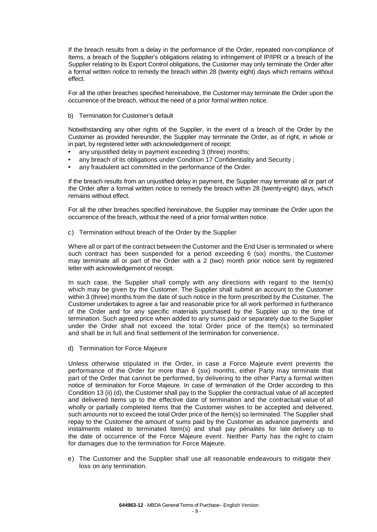If the breach results from a delay in the performance of the Order, repeated non-compliance of Items, a breach of the Supplier's obligations relating to infringement of IP/IPR or a breach of the Supplier relating to its Export Control obligations, the Customer may only terminate the Order after a formal written notice to remedy the breach within 28 (twenty eight) days which remains without effect.

For all the other breaches specified hereinabove, the Customer may terminate the Order upon the occurrence of the breach, without the need of a prior formal written notice.

b) Termination for Customer's default

Notwithstanding any other rights of the Supplier, in the event of a breach of the Order by the Customer as provided hereunder, the Supplier may terminate the Order, as of right, in whole or in part, by registered letter with acknowledgement of receipt:

- any unjustified delay in payment exceeding 3 (three) months;
- any breach of its obligations under Condition 17 Confidentiality and Security ;
- any fraudulent act committed in the performance of the Order.

If the breach results from an unjustified delay in payment, the Supplier may terminate all or part of the Order after a formal written notice to remedy the breach within 28 (twenty-eight) days, which remains without effect.

For all the other breaches specified hereinabove, the Supplier may terminate the Order upon the occurrence of the breach, without the need of a prior formal written notice.

c) Termination without breach of the Order by the Supplier

Where all or part of the contract between the Customer and the End User is terminated or where such contract has been suspended for a period exceeding 6 (six) months, the Customer may terminate all or part of the Order with a 2 (two) month prior notice sent by registered letter with acknowledgement of receipt.

In such case, the Supplier shall comply with any directions with regard to the Item(s) which may be given by the Customer. The Supplier shall submit an account to the Customer within 3 (three) months from the date of such notice in the form prescribed by the Customer. The Customer undertakes to agree a fair and reasonable price for all work performed in furtherance of the Order and for any specific materials purchased by the Supplier up to the time of termination. Such agreed price when added to any sums paid or separately due to the Supplier under the Order shall not exceed the total Order price of the Item(s) so terminated and shall be in full and final settlement of the termination for convenience.

d) Termination for Force Majeure

Unless otherwise stipulated in the Order, in case a Force Majeure event prevents the performance of the Order for more than 6 (six) months, either Party may terminate that part of the Order that cannot be performed, by delivering to the other Party a formal written notice of termination for Force Majeure. In case of termination of the Order according to this Condition 13 (ii) (d), the Customer shall pay to the Supplier the contractual value of all accepted and delivered Items up to the effective date of termination and the contractual value of all wholly or partially completed Items that the Customer wishes to be accepted and delivered, such amounts not to exceed the total Order price of the Item(s) so terminated. The Supplier shall repay to the Customer the amount of sums paid by the Customer as advance payments and instalments related to terminated Item(s) and shall pay pénalités for late delivery up to the date of occurrence of the Force Majeure event. Neither Party has the right to claim for damages due to the termination for Force Majeure.

e) The Customer and the Supplier shall use all reasonable endeavours to mitigate their loss on any termination.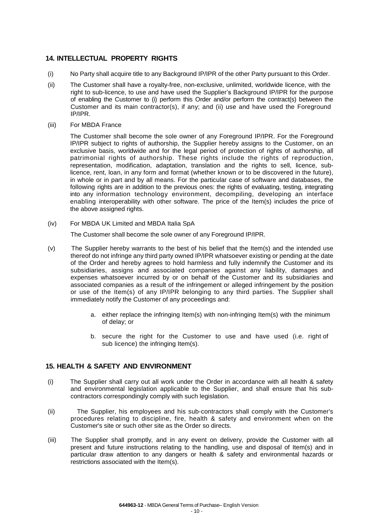## **14. INTELLECTUAL PROPERTY RIGHTS**

- (i) No Party shall acquire title to any Background IP/IPR of the other Party pursuant to this Order.
- (ii) The Customer shall have a royalty-free, non-exclusive, unlimited, worldwide licence, with the right to sub-licence, to use and have used the Supplier's Background IP/IPR for the purpose of enabling the Customer to (i) perform this Order and/or perform the contract(s) between the Customer and its main contractor(s), if any; and (ii) use and have used the Foreground IP/IPR.
- (iii) For MBDA France

The Customer shall become the sole owner of any Foreground IP/IPR. For the Foreground IP/IPR subject to rights of authorship, the Supplier hereby assigns to the Customer, on an exclusive basis, worldwide and for the legal period of protection of rights of authorship, all patrimonial rights of authorship. These rights include the rights of reproduction, representation, modification, adaptation, translation and the rights to sell, licence, sublicence, rent, loan, in any form and format (whether known or to be discovered in the future), in whole or in part and by all means. For the particular case of software and databases, the following rights are in addition to the previous ones: the rights of evaluating, testing, integrating into any information technology environment, decompiling, developing an interface enabling interoperability with other software. The price of the Item(s) includes the price of the above assigned rights.

(iv) For MBDA UK Limited and MBDA Italia SpA

The Customer shall become the sole owner of any Foreground IP/IPR.

- (v) The Supplier hereby warrants to the best of his belief that the Item(s) and the intended use thereof do not infringe any third party owned IP/IPR whatsoever existing or pending at the date of the Order and hereby agrees to hold harmless and fully indemnify the Customer and its subsidiaries, assigns and associated companies against any liability, damages and expenses whatsoever incurred by or on behalf of the Customer and its subsidiaries and associated companies as a result of the infringement or alleged infringement by the position or use of the Item(s) of any IP/IPR belonging to any third parties. The Supplier shall immediately notify the Customer of any proceedings and:
	- a. either replace the infringing Item(s) with non-infringing Item(s) with the minimum of delay; or
	- b. secure the right for the Customer to use and have used (i.e. right of sub licence) the infringing Item(s).

#### **15. HEALTH & SAFETY AND ENVIRONMENT**

- (i) The Supplier shall carry out all work under the Order in accordance with all health & safety and environmental legislation applicable to the Supplier, and shall ensure that his subcontractors correspondingly comply with such legislation.
- (ii) The Supplier, his employees and his sub-contractors shall comply with the Customer's procedures relating to discipline, fire, health & safety and environment when on the Customer's site or such other site as the Order so directs.
- (iii) The Supplier shall promptly, and in any event on delivery, provide the Customer with all present and future instructions relating to the handling, use and disposal of Item(s) and in particular draw attention to any dangers or health & safety and environmental hazards or restrictions associated with the Item(s).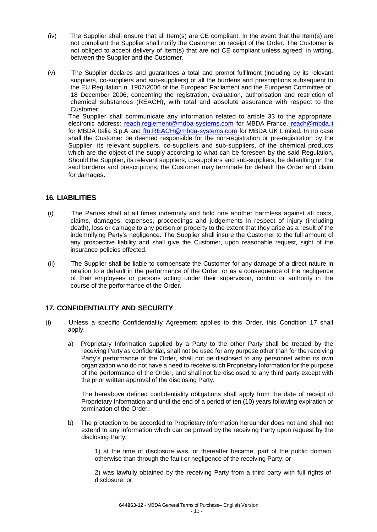- (iv) The Supplier shall ensure that all Item(s) are CE compliant. In the event that the Item(s) are not compliant the Supplier shall notify the Customer on receipt of the Order. The Customer is not obliged to accept delivery of Item(s) that are not CE compliant unless agreed, in writing, between the Supplier and the Customer.
- (v) The Supplier declares and guarantees a total and prompt fulfilment (including by its relevant suppliers, co-suppliers and sub-suppliers) of all the burdens and prescriptions subsequent to the EU Regulation n. 1907/2006 of the European Parliament and the European Committee of 18 December 2006, concerning the registration, evaluation, authorisation and restriction of chemical substances (REACH), with total and absolute assurance with respect to the Customer.

The Supplier shall communicate any information related to article 33 to the appropriate electronic address: [reach.reglement@mdba-systems.com](mailto:reach.reglement@mdba-systems.com) for MBDA France, [reach@mbda.it](mailto:reach@mbda.it) for MBDA Italia S.p.A and [ftn.REACH@mbda-systems.com](mailto:ftn.REACH@mbda-systems.com) for MBDA UK Limited. In no case shall the Customer be deemed responsible for the non-registration or pre-registration by the Supplier, its relevant suppliers, co-suppliers and sub-suppliers, of the chemical products which are the object of the supply according to what can be foreseen by the said Regulation. Should the Supplier, its relevant suppliers, co-suppliers and sub-suppliers, be defaulting on the said burdens and prescriptions, the Customer may terminate for default the Order and claim for damages.

## **16. LIABILITIES**

- (i) The Parties shall at all times indemnify and hold one another harmless against all costs, claims, damages, expenses, proceedings and judgements in respect of injury (including death), loss or damage to any person or property to the extent that they arise as a result of the indemnifying Party's negligence. The Supplier shall insure the Customer to the full amount of any prospective liability and shall give the Customer, upon reasonable request, sight of the insurance policies effected.
- (ii) The Supplier shall be liable to compensate the Customer for any damage of a direct nature in relation to a default in the performance of the Order, or as a consequence of the negligence of their employees or persons acting under their supervision, control or authority in the course of the performance of the Order.

## **17. CONFIDENTIALITY AND SECURITY**

- (i) Unless a specific Confidentiality Agreement applies to this Order, this Condition 17 shall apply.
	- a) Proprietary Information supplied by a Party to the other Party shall be treated by the receiving Party as confidential, shall not be used for any purpose other than for the receiving Party's performance of the Order, shall not be disclosed to any personnel within its own organization who do not have a need to receive such Proprietary Information for the purpose of the performance of the Order, and shall not be disclosed to any third party except with the prior written approval of the disclosing Party.

The hereabove defined confidentiality obligations shall apply from the date of receipt of Proprietary Information and until the end of a period of ten (10) years following expiration or termination of the Order.

b) The protection to be accorded to Proprietary Information hereunder does not and shall not extend to any information which can be proved by the receiving Party upon request by the disclosing Party:

> 1) at the time of disclosure was, or thereafter became, part of the public domain otherwise than through the fault or negligence of the receiving Party; or

> 2) was lawfully obtained by the receiving Party from a third party with full rights of disclosure; or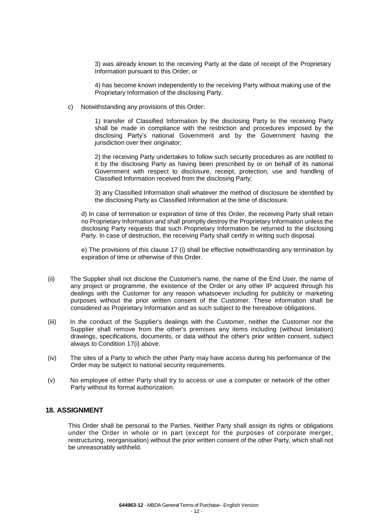3) was already known to the receiving Party at the date of receipt of the Proprietary Information pursuant to this Order; or

4) has become known independently to the receiving Party without making use of the Proprietary Information of the disclosing Party.

c) Notwithstanding any provisions of this Order:

1) transfer of Classified Information by the disclosing Party to the receiving Party shall be made in compliance with the restriction and procedures imposed by the disclosing Party's national Government and by the Government having the jurisdiction over their originator;

2) the receiving Party undertakes to follow such security procedures as are notified to it by the disclosing Party as having been prescribed by or on behalf of its national Government with respect to disclosure, receipt, protection, use and handling of Classified Information received from the disclosing Party;

3) any Classified Information shall whatever the method of disclosure be identified by the disclosing Party as Classified Information at the time of disclosure.

d) In case of termination or expiration of time of this Order, the receiving Party shall retain no Proprietary Information and shall promptly destroy the Proprietary Information unless the disclosing Party requests that such Proprietary Information be returned to the disclosing Party. In case of destruction, the receiving Party shall certify in writing such disposal.

e) The provisions of this clause 17 (i) shall be effective notwithstanding any termination by expiration of time or otherwise of this Order.

- (ii) The Supplier shall not disclose the Customer's name, the name of the End User, the name of any project or programme, the existence of the Order or any other IP acquired through his dealings with the Customer for any reason whatsoever including for publicity or marketing purposes without the prior written consent of the Customer. These information shall be considered as Proprietary Information and as such subject to the hereabove obligations.
- (iii) In the conduct of the Supplier's dealings with the Customer, neither the Customer nor the Supplier shall remove from the other's premises any items including (without limitation) drawings, specifications, documents, or data without the other's prior written consent, subject always to Condition 17(i) above.
- (iv) The sites of a Party to which the other Party may have access during his performance of the Order may be subject to national security requirements.
- (v) No employee of either Party shall try to access or use a computer or network of the other Party without its formal authorization.

#### **18. ASSIGNMENT**

This Order shall be personal to the Parties. Neither Party shall assign its rights or obligations under the Order in whole or in part (except for the purposes of corporate merger, restructuring, reorganisation) without the prior written consent of the other Party, which shall not be unreasonably withheld.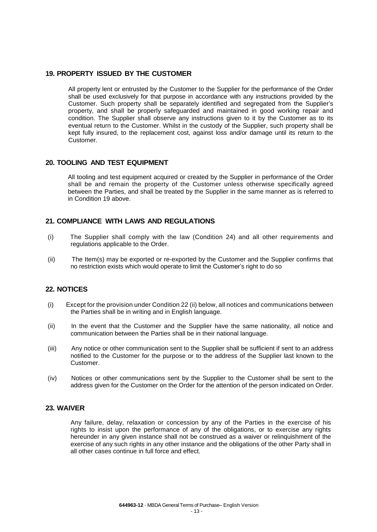#### **19. PROPERTY ISSUED BY THE CUSTOMER**

All property lent or entrusted by the Customer to the Supplier for the performance of the Order shall be used exclusively for that purpose in accordance with any instructions provided by the Customer. Such property shall be separately identified and segregated from the Supplier's property, and shall be properly safeguarded and maintained in good working repair and condition. The Supplier shall observe any instructions given to it by the Customer as to its eventual return to the Customer. Whilst in the custody of the Supplier, such property shall be kept fully insured, to the replacement cost, against loss and/or damage until its return to the Customer.

#### **20. TOOLING AND TEST EQUIPMENT**

All tooling and test equipment acquired or created by the Supplier in performance of the Order shall be and remain the property of the Customer unless otherwise specifically agreed between the Parties, and shall be treated by the Supplier in the same manner as is referred to in Condition 19 above.

## **21. COMPLIANCE WITH LAWS AND REGULATIONS**

- (i) The Supplier shall comply with the law (Condition 24) and all other requirements and regulations applicable to the Order.
- (ii) The Item(s) may be exported or re-exported by the Customer and the Supplier confirms that no restriction exists which would operate to limit the Customer's right to do so

## **22. NOTICES**

- (i) Except for the provision under Condition 22 (ii) below, all notices and communications between the Parties shall be in writing and in English language.
- (ii) In the event that the Customer and the Supplier have the same nationality, all notice and communication between the Parties shall be in their national language.
- (iii) Any notice or other communication sent to the Supplier shall be sufficient if sent to an address notified to the Customer for the purpose or to the address of the Supplier last known to the Customer.
- (iv) Notices or other communications sent by the Supplier to the Customer shall be sent to the address given for the Customer on the Order for the attention of the person indicated on Order.

## **23. WAIVER**

Any failure, delay, relaxation or concession by any of the Parties in the exercise of his rights to insist upon the performance of any of the obligations, or to exercise any rights hereunder in any given instance shall not be construed as a waiver or relinquishment of the exercise of any such rights in any other instance and the obligations of the other Party shall in all other cases continue in full force and effect.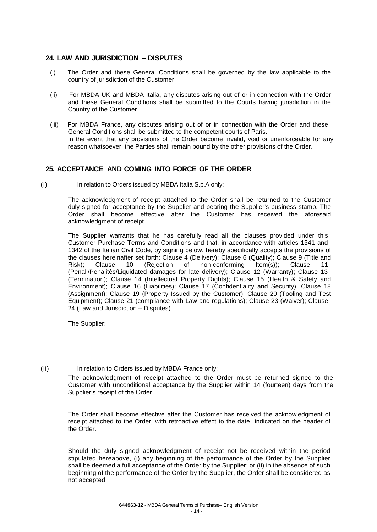## **24. LAW AND JURISDICTION – DISPUTES**

- (i) The Order and these General Conditions shall be governed by the law applicable to the country of jurisdiction of the Customer.
- (ii) For MBDA UK and MBDA Italia, any disputes arising out of or in connection with the Order and these General Conditions shall be submitted to the Courts having jurisdiction in the Country of the Customer.
- (iii) For MBDA France, any disputes arising out of or in connection with the Order and these General Conditions shall be submitted to the competent courts of Paris. In the event that any provisions of the Order become invalid, void or unenforceable for any reason whatsoever, the Parties shall remain bound by the other provisions of the Order.

## **25. ACCEPTANCE AND COMING INTO FORCE OF THE ORDER**

(i) In relation to Orders issued by MBDA Italia S.p.A only:

The acknowledgment of receipt attached to the Order shall be returned to the Customer duly signed for acceptance by the Supplier and bearing the Supplier's business stamp. The Order shall become effective after the Customer has received the aforesaid acknowledgment of receipt.

The Supplier warrants that he has carefully read all the clauses provided under this Customer Purchase Terms and Conditions and that, in accordance with articles 1341 and 1342 of the Italian Civil Code, by signing below, hereby specifically accepts the provisions of the clauses hereinafter set forth: Clause 4 (Delivery); Clause 6 (Quality); Clause 9 (Title and<br>Risk): Clause 10 (Rejection of non-conforming Item(s)): Clause 11 Risk); Clause 10 (Rejection of non-conforming Item(s)); Clause 11 (Penali/Penalitès/Liquidated damages for late delivery); Clause 12 (Warranty); Clause 13 (Termination); Clause 14 (Intellectual Property Rights); Clause 15 (Health & Safety and Environment); Clause 16 (Liabilities); Clause 17 (Confidentiality and Security); Clause 18 (Assignment); Clause 19 (Property Issued by the Customer); Clause 20 (Tooling and Test Equipment); Clause 21 (compliance with Law and regulations); Clause 23 (Waiver); Clause 24 (Law and Jurisdiction – Disputes).

The Supplier:

(ii) In relation to Orders issued by MBDA France only:

The Order shall become effective after the Customer has received the acknowledgment of receipt attached to the Order, with retroactive effect to the date indicated on the header of the Order.

Should the duly signed acknowledgment of receipt not be received within the period stipulated hereabove, (i) any beginning of the performance of the Order by the Supplier shall be deemed a full acceptance of the Order by the Supplier; or (ii) in the absence of such beginning of the performance of the Order by the Supplier, the Order shall be considered as not accepted.

The acknowledgment of receipt attached to the Order must be returned signed to the Customer with unconditional acceptance by the Supplier within 14 (fourteen) days from the Supplier's receipt of the Order.